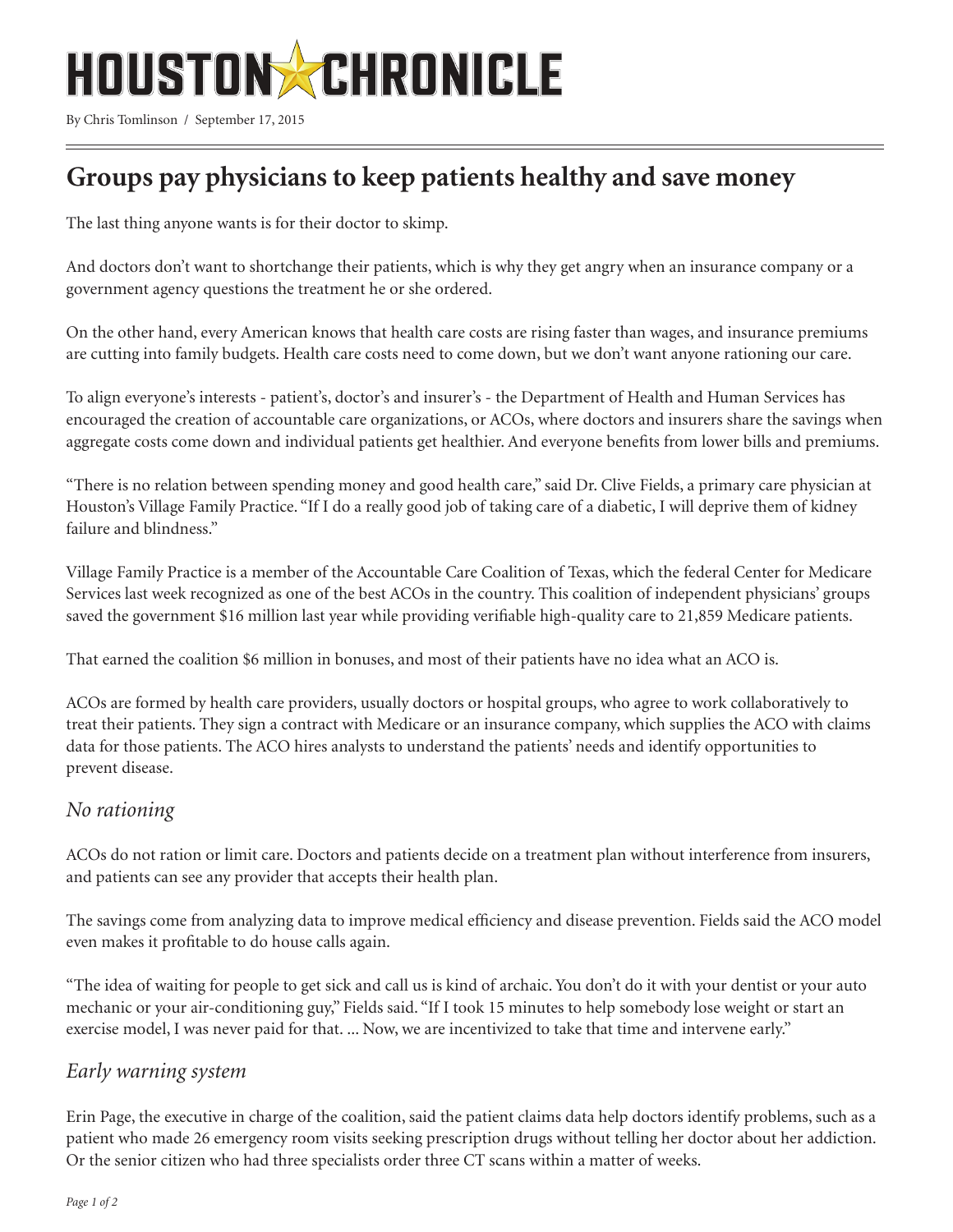

By Chris Tomlinson / September 17, 2015

# **Groups pay physicians to keep patients healthy and save money**

The last thing anyone wants is for their doctor to skimp.

And doctors don't want to shortchange their patients, which is why they get angry when an insurance company or a government agency questions the treatment he or she ordered.

On the other hand, every American knows that health care costs are rising faster than wages, and insurance premiums are cutting into family budgets. Health care costs need to come down, but we don't want anyone rationing our care.

To align everyone's interests - patient's, doctor's and insurer's - the Department of Health and Human Services has encouraged the creation of accountable care organizations, or ACOs, where doctors and insurers share the savings when aggregate costs come down and individual patients get healthier. And everyone benefits from lower bills and premiums.

"There is no relation between spending money and good health care," said Dr. Clive Fields, a primary care physician at Houston's Village Family Practice. "If I do a really good job of taking care of a diabetic, I will deprive them of kidney failure and blindness."

Village Family Practice is a member of the Accountable Care Coalition of Texas, which the federal Center for Medicare Services last week recognized as one of the best ACOs in the country. This coalition of independent physicians' groups saved the government \$16 million last year while providing verifiable high-quality care to 21,859 Medicare patients.

That earned the coalition \$6 million in bonuses, and most of their patients have no idea what an ACO is.

ACOs are formed by health care providers, usually doctors or hospital groups, who agree to work collaboratively to treat their patients. They sign a contract with Medicare or an insurance company, which supplies the ACO with claims data for those patients. The ACO hires analysts to understand the patients' needs and identify opportunities to prevent disease.

## *No rationing*

ACOs do not ration or limit care. Doctors and patients decide on a treatment plan without interference from insurers, and patients can see any provider that accepts their health plan.

The savings come from analyzing data to improve medical efficiency and disease prevention. Fields said the ACO model even makes it profitable to do house calls again.

"The idea of waiting for people to get sick and call us is kind of archaic. You don't do it with your dentist or your auto mechanic or your air-conditioning guy," Fields said. "If I took 15 minutes to help somebody lose weight or start an exercise model, I was never paid for that. ... Now, we are incentivized to take that time and intervene early."

## *Early warning system*

Erin Page, the executive in charge of the coalition, said the patient claims data help doctors identify problems, such as a patient who made 26 emergency room visits seeking prescription drugs without telling her doctor about her addiction. Or the senior citizen who had three specialists order three CT scans within a matter of weeks.